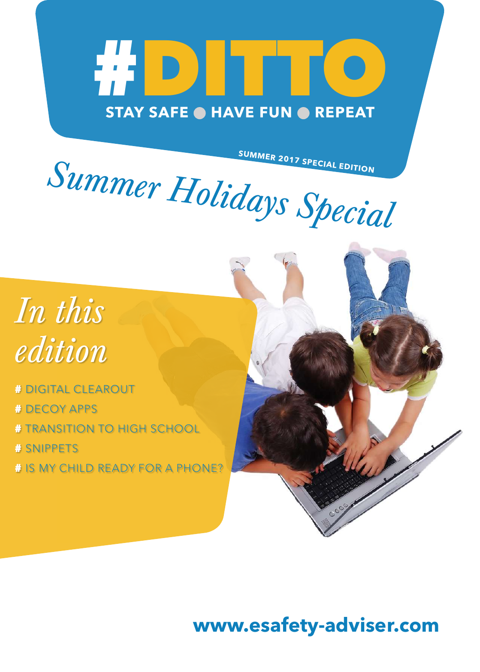# # DITTO **STAY SAFE HAVE FUN REPEAT**

**SUMMER 2017 SPECIAL EDITION**

*Summer Holidays Special*



# DIGITAL CLEAROUT

# DECOY APPS

# TRANSITION TO HIGH SCHOOL

# SNIPPETS

# IS MY CHILD READY FOR A PHONE?

### **www.esafety-adviser.com**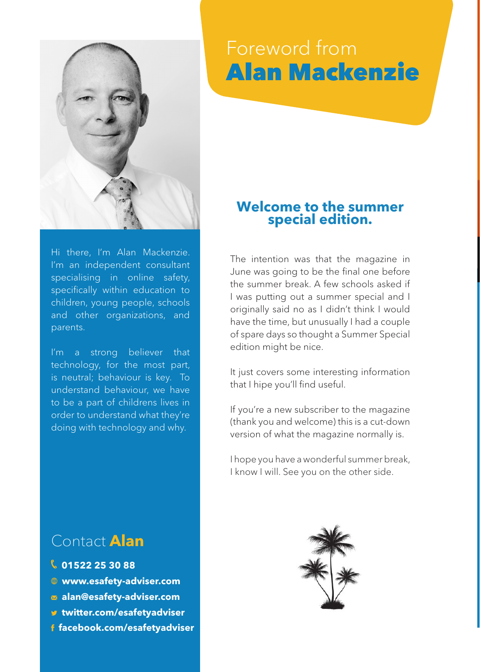

#### Hi there, I'm Alan Mackenzie. I'm an independent consultant specialising in online safety, specifically within education to children, young people, schools and other organizations, and parents.

I'm a strong believer that technology, for the most part, is neutral; behaviour is key. To understand behaviour, we have to be a part of childrens lives in order to understand what they're doing with technology and why.

#### Contact **Alan**

- **01522 25 30 88**
- **www.esafety-adviser.com**
- **[alan@esafety-adviser.com](mailto:alan%40esafety-adviser.com?subject=Contact%20from%20DITTO%20Magazine)**
- **[twitter.com/esafetyadviser](http://twitter.com/esafetyadviser)**
- **[facebook.com/esafetyadviser](http://www.facebook.com/esafetyadviser)**

### Foreword from Alan Mackenzie

#### **Welcome to the summer special edition.**

The intention was that the magazine in June was going to be the final one before the summer break. A few schools asked if I was putting out a summer special and I originally said no as I didn't think I would have the time, but unusually I had a couple of spare days so thought a Summer Special edition might be nice.

It just covers some interesting information that I hipe you'll find useful.

If you're a new subscriber to the magazine (thank you and welcome) this is a cut-down version of what the magazine normally is.

I hope you have a wonderful summer break, I know I will. See you on the other side.

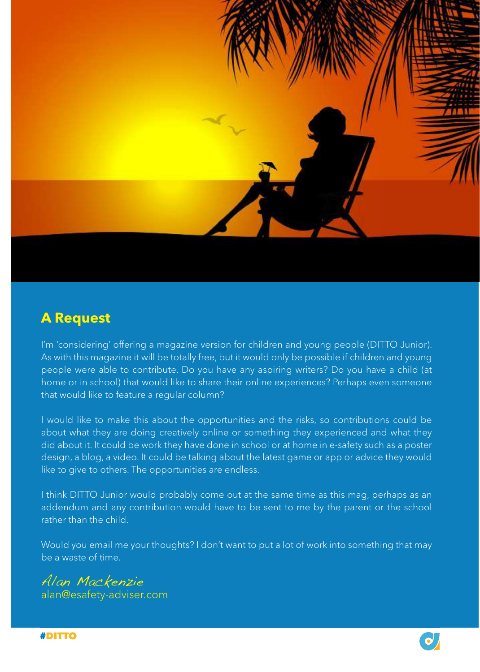

#### **A Request**

I'm 'considering' offering a magazine version for children and young people (DITTO Junior). As with this magazine it will be totally free, but it would only be possible if children and young people were able to contribute. Do you have any aspiring writers? Do you have a child (at home or in school) that would like to share their online experiences? Perhaps even someone that would like to feature a regular column?

I would like to make this about the opportunities and the risks, so contributions could be about what they are doing creatively online or something they experienced and what they did about it. It could be work they have done in school or at home in e-safety such as a poster design, a blog, a video. It could be talking about the latest game or app or advice they would like to give to others. The opportunities are endless.

I think DITTO Junior would probably come out at the same time as this mag, perhaps as an addendum and any contribution would have to be sent to me by the parent or the school rather than the child.

Would you email me your thoughts? I don't want to put a lot of work into something that may be a waste of time.

#### Alan Mackenzie

alan@esafety-adviser.com

#DITTO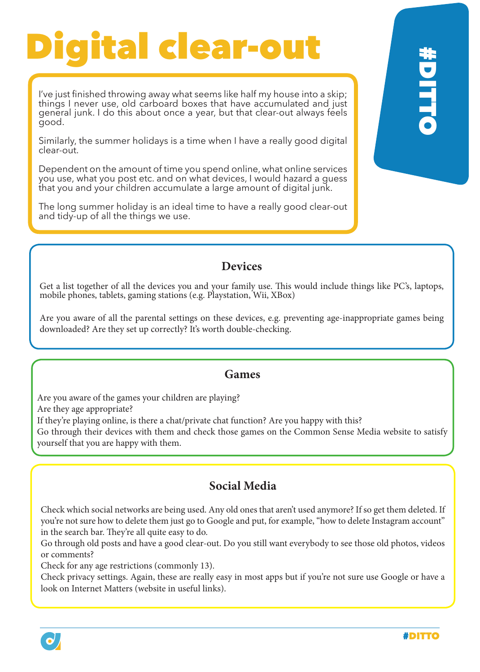## Digital clear-out

I've just finished throwing away what seems like half my house into a skip; things I never use, old carboard boxes that have accumulated and just general junk. I do this about once a year, but that clear-out always feels good.

Similarly, the summer holidays is a time when I have a really good digital clear-out.

Dependent on the amount of time you spend online, what online services you use, what you post etc. and on what devices, I would hazard a guess that you and your children accumulate a large amount of digital junk.

The long summer holiday is an ideal time to have a really good clear-out and tidy-up of all the things we use.

#### **Devices**

Get a list together of all the devices you and your family use. This would include things like PC's, laptops, mobile phones, tablets, gaming stations (e.g. Playstation, Wii, XBox)

Are you aware of all the parental settings on these devices, e.g. preventing age-inappropriate games being downloaded? Are they set up correctly? It's worth double-checking.

#### **Games**

Are you aware of the games your children are playing?

Are they age appropriate?

If they're playing online, is there a chat/private chat function? Are you happy with this?

Go through their devices with them and check those games on the Common Sense Media website to satisfy yourself that you are happy with them.

#### **Social Media**

Check which social networks are being used. Any old ones that aren't used anymore? If so get them deleted. If you're not sure how to delete them just go to Google and put, for example, "how to delete Instagram account" in the search bar. They're all quite easy to do.

Go through old posts and have a good clear-out. Do you still want everybody to see those old photos, videos or comments?

Check for any age restrictions (commonly 13).

Check privacy settings. Again, these are really easy in most apps but if you're not sure use Google or have a look on Internet Matters (website in useful links).

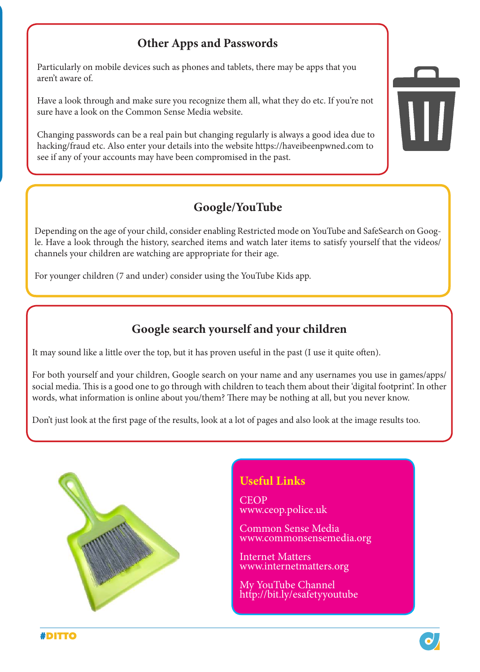#### **Other Apps and Passwords**

Particularly on mobile devices such as phones and tablets, there may be apps that you aren't aware of.

Have a look through and make sure you recognize them all, what they do etc. If you're not sure have a look on the Common Sense Media website.

Changing passwords can be a real pain but changing regularly is always a good idea due to hacking/fraud etc. Also enter your details into the website [https://haveibeenpwned.com](https://haveibeenpwned.com ) to see if any of your accounts may have been compromised in the past.

#### **Google/YouTube**

Depending on the age of your child, consider enabling Restricted mode on YouTube and SafeSearch on Google. Have a look through the history, searched items and watch later items to satisfy yourself that the videos/ channels your children are watching are appropriate for their age.

For younger children (7 and under) consider using the YouTube Kids app.

#### **Google search yourself and your children**

It may sound like a little over the top, but it has proven useful in the past (I use it quite often).

For both yourself and your children, Google search on your name and any usernames you use in games/apps/ social media. This is a good one to go through with children to teach them about their 'digital footprint'. In other words, what information is online about you/them? There may be nothing at all, but you never know.

Don't just look at the first page of the results, look at a lot of pages and also look at the image results too.



#### **Useful Links**

CEOP [www.ceop.police.uk](http://www.ceop.police.uk)

Common Sense Media [www.commonsensemedia.org](http://www.commonsensemedia.org)

Internet Matters [www.internetmatters.org](http://www.internetmatters.org)

My YouTube Channel <http://bit.ly/esafetyyoutube>

#DITTO

 $\overline{\mathsf{III}}$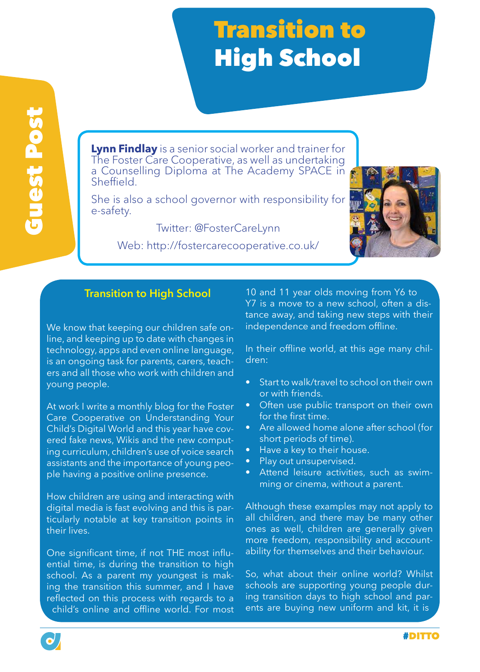## **Transition to** High School

**Lynn Findlay** is a senior social worker and trainer for The Foster Care Cooperative, as well as undertaking a Counselling Diploma at The Academy SPACE in Sheffield.

She is also a school governor with responsibility for e-safety.

Twitter: @FosterCareLynn

Web: http://fostercarecooperative.co.uk/



#### **Transition to High School**

We know that keeping our children safe online, and keeping up to date with changes in technology, apps and even online language, is an ongoing task for parents, carers, teachers and all those who work with children and young people.

At work I write a monthly blog for the Foster Care Cooperative on Understanding Your Child's Digital World and this year have covered fake news, Wikis and the new computing curriculum, children's use of voice search assistants and the importance of young people having a positive online presence.

How children are using and interacting with digital media is fast evolving and this is particularly notable at key transition points in their lives.

One significant time, if not THE most influential time, is during the transition to high school. As a parent my youngest is making the transition this summer, and I have reflected on this process with regards to a child's online and offline world. For most

10 and 11 year olds moving from Y6 to Y7 is a move to a new school, often a distance away, and taking new steps with their independence and freedom offline.

In their offline world, at this age many children:

- Start to walk/travel to school on their own or with friends.
- Often use public transport on their own for the first time.
- Are allowed home alone after school (for short periods of time).
- Have a key to their house.
- Play out unsupervised.
- Attend leisure activities, such as swimming or cinema, without a parent.

Although these examples may not apply to all children, and there may be many other ones as well, children are generally given more freedom, responsibility and accountability for themselves and their behaviour.

So, what about their online world? Whilst schools are supporting young people during transition days to high school and parents are buying new uniform and kit, it is

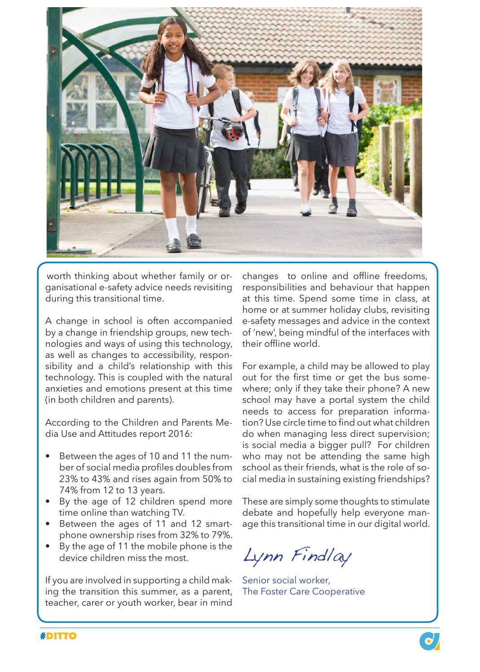

worth thinking about whether family or organisational e-safety advice needs revisiting during this transitional time.

A change in school is often accompanied by a change in friendship groups, new technologies and ways of using this technology, as well as changes to accessibility, responsibility and a child's relationship with this technology. This is coupled with the natural anxieties and emotions present at this time (in both children and parents).

According to the Children and Parents Media Use and Attitudes report 2016:

- Between the ages of 10 and 11 the number of social media profiles doubles from 23% to 43% and rises again from 50% to 74% from 12 to 13 years.
- By the age of 12 children spend more time online than watching TV.
- Between the ages of 11 and 12 smartphone ownership rises from 32% to 79%.
- By the age of 11 the mobile phone is the device children miss the most.

If you are involved in supporting a child making the transition this summer, as a parent, teacher, carer or youth worker, bear in mind

changes to online and offline freedoms, responsibilities and behaviour that happen at this time. Spend some time in class, at home or at summer holiday clubs, revisiting e-safety messages and advice in the context of 'new', being mindful of the interfaces with their offline world.

For example, a child may be allowed to play out for the first time or get the bus somewhere; only if they take their phone? A new school may have a portal system the child needs to access for preparation information? Use circle time to find out what children do when managing less direct supervision; is social media a bigger pull? For children who may not be attending the same high school as their friends, what is the role of social media in sustaining existing friendships?

These are simply some thoughts to stimulate debate and hopefully help everyone manage this transitional time in our digital world.

Lynn Findlay

Senior social worker, The Foster Care Cooperative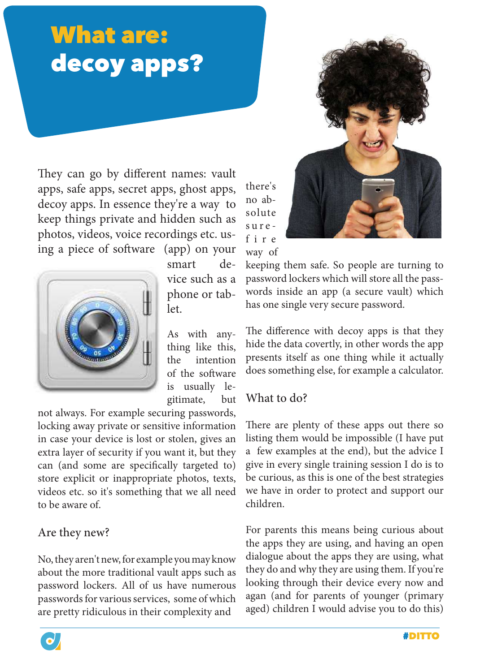## What are: decoy apps?

They can go by different names: vault apps, safe apps, secret apps, ghost apps, decoy apps. In essence they're a way to keep things private and hidden such as photos, videos, voice recordings etc. using a piece of software (app) on your



smart device such as a phone or tablet.

As with anything like this, the intention of the software is usually legitimate, but

not always. For example securing passwords, locking away private or sensitive information in case your device is lost or stolen, gives an extra layer of security if you want it, but they can (and some are specifically targeted to) store explicit or inappropriate photos, texts, videos etc. so it's something that we all need to be aware of.

#### Are they new?

No, they aren't new, for example you may know about the more traditional vault apps such as password lockers. All of us have numerous passwords for various services, some of which are pretty ridiculous in their complexity and



no absolute sure f i r e way of

there's

keeping them safe. So people are turning to password lockers which will store all the passwords inside an app (a secure vault) which has one single very secure password.

The difference with decoy apps is that they hide the data covertly, in other words the app presents itself as one thing while it actually does something else, for example a calculator.

#### What to do?

There are plenty of these apps out there so listing them would be impossible (I have put a few examples at the end), but the advice I give in every single training session I do is to be curious, as this is one of the best strategies we have in order to protect and support our children.

For parents this means being curious about the apps they are using, and having an open dialogue about the apps they are using, what they do and why they are using them. If you're looking through their device every now and agan (and for parents of younger (primary aged) children I would advise you to do this)

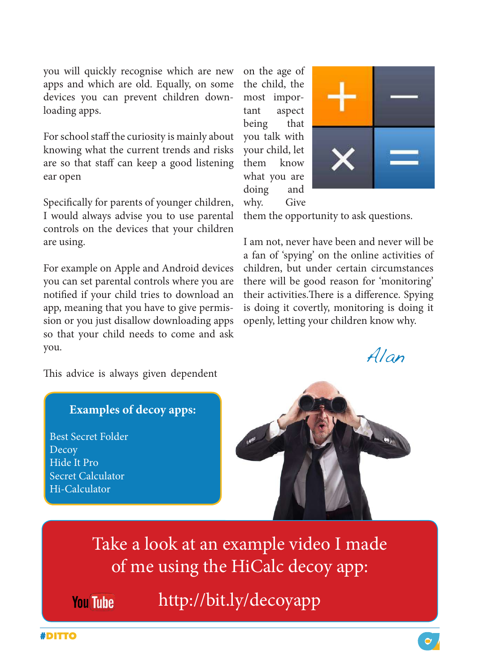you will quickly recognise which are new apps and which are old. Equally, on some devices you can prevent children downloading apps.

For school staff the curiosity is mainly about knowing what the current trends and risks are so that staff can keep a good listening ear open

Specifically for parents of younger children, I would always advise you to use parental controls on the devices that your children are using.

For example on Apple and Android devices you can set parental controls where you are notified if your child tries to download an app, meaning that you have to give permission or you just disallow downloading apps so that your child needs to come and ask you.

on the age of the child, the most important aspect being that you talk with your child, let them know what you are doing and why. Give



them the opportunity to ask questions.

I am not, never have been and never will be a fan of 'spying' on the online activities of children, but under certain circumstances there will be good reason for 'monitoring' their activities.There is a difference. Spying is doing it covertly, monitoring is doing it openly, letting your children know why.

Alan .

This advice is always given dependent

#### **Examples of decoy apps:**

Best Secret Folder Decoy Hide It Pro Secret Calculator Hi-Calculator



Take a look at an example video I made of me using the HiCalc decoy app:

**You Tube** 

<http://bit.ly/decoyapp>

#DITTO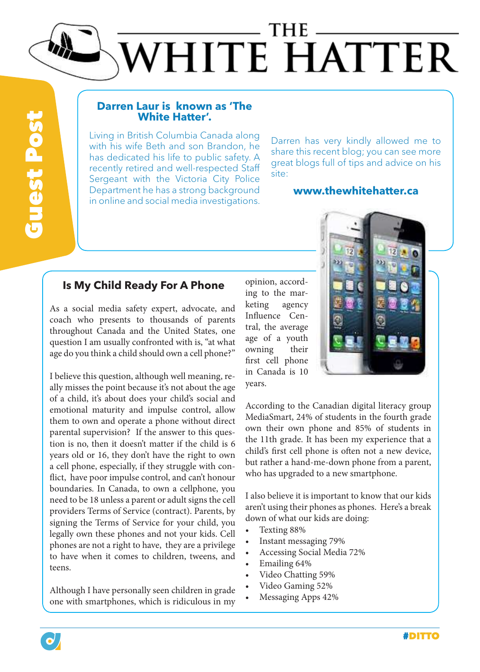## THE WHITE HATTER

# **Guest Post** Guest Post

#### **Darren Laur is known as 'The White Hatter'.**

Living in British Columbia Canada along with his wife Beth and son Brandon, he has dedicated his life to public safety. A recently retired and well-respected Staff Sergeant with the Victoria City Police Department he has a strong background in online and social media investigations.

Darren has very kindly allowed me to share this recent blog; you can see more great blogs full of tips and advice on his site:

#### **[www.thewhitehatter.ca](http://www.thewhitehatter.ca)**

#### **Is My Child Ready For A Phone**

As a social media safety expert, advocate, and coach who presents to thousands of parents throughout Canada and the United States, one question I am usually confronted with is, "at what age do you think a child should own a cell phone?"

I believe this question, although well meaning, really misses the point because it's not about the age of a child, it's about does your child's social and emotional maturity and impulse control, allow them to own and operate a phone without direct parental supervision? If the answer to this question is no, then it doesn't matter if the child is 6 years old or 16, they don't have the right to own a cell phone, especially, if they struggle with conflict, have poor impulse control, and can't honour boundaries. In Canada, to own a cellphone, you need to be 18 unless a parent or adult signs the cell providers Terms of Service (contract). Parents, by signing the Terms of Service for your child, you legally own these phones and not your kids. Cell phones are not a right to have, they are a privilege to have when it comes to children, tweens, and teens.

Although I have personally seen children in grade one with smartphones, which is ridiculous in my

opinion, according to the marketing agency Influence Central, the average age of a youth owning their first cell phone in Canada is 10 years.



According to the Canadian digital literacy group MediaSmart, 24% of students in the fourth grade own their own phone and 85% of students in the 11th grade. It has been my experience that a child's first cell phone is often not a new device, but rather a hand-me-down phone from a parent, who has upgraded to a new smartphone.

I also believe it is important to know that our kids aren't using their phones as phones. Here's a break down of what our kids are doing:

- Texting 88%
- Instant messaging 79%
- Accessing Social Media 72%
- Emailing 64%
- Video Chatting 59%
- Video Gaming 52%
- Messaging Apps 42%

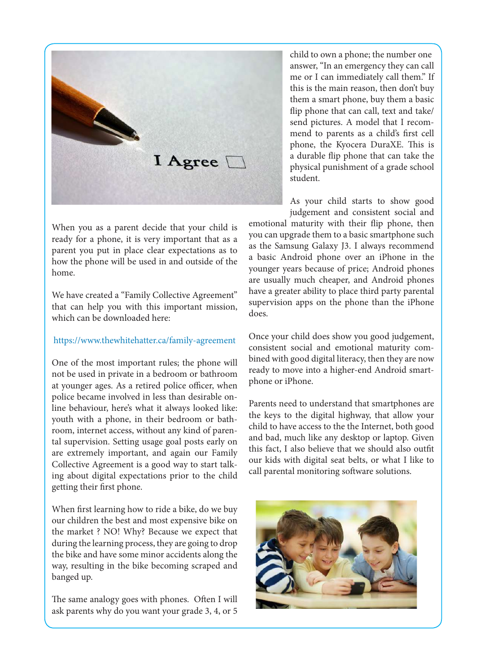

When you as a parent decide that your child is ready for a phone, it is very important that as a parent you put in place clear expectations as to how the phone will be used in and outside of the home.

We have created a "Family Collective Agreement" that can help you with this important mission, which can be downloaded here:

#### [https://www.thewhitehatter.ca/family-agreement](https://www.thewhitehatter.ca/family-agreement )

One of the most important rules; the phone will not be used in private in a bedroom or bathroom at younger ages. As a retired police officer, when police became involved in less than desirable online behaviour, here's what it always looked like: youth with a phone, in their bedroom or bathroom, internet access, without any kind of parental supervision. Setting usage goal posts early on are extremely important, and again our Family Collective Agreement is a good way to start talking about digital expectations prior to the child getting their first phone.

When first learning how to ride a bike, do we buy our children the best and most expensive bike on the market ? NO! Why? Because we expect that during the learning process, they are going to drop the bike and have some minor accidents along the way, resulting in the bike becoming scraped and banged up.

The same analogy goes with phones. Often I will ask parents why do you want your grade 3, 4, or 5 child to own a phone; the number one answer, "In an emergency they can call me or I can immediately call them." If this is the main reason, then don't buy them a smart phone, buy them a basic flip phone that can call, text and take/ send pictures. A model that I recommend to parents as a child's first cell phone, the Kyocera DuraXE. This is a durable flip phone that can take the physical punishment of a grade school student.

As your child starts to show good judgement and consistent social and

emotional maturity with their flip phone, then you can upgrade them to a basic smartphone such as the Samsung Galaxy J3. I always recommend a basic Android phone over an iPhone in the younger years because of price; Android phones are usually much cheaper, and Android phones have a greater ability to place third party parental supervision apps on the phone than the iPhone does.

Once your child does show you good judgement, consistent social and emotional maturity combined with good digital literacy, then they are now ready to move into a higher-end Android smartphone or iPhone.

Parents need to understand that smartphones are the keys to the digital highway, that allow your child to have access to the the Internet, both good and bad, much like any desktop or laptop. Given this fact, I also believe that we should also outfit our kids with digital seat belts, or what I like to call parental monitoring software solutions.

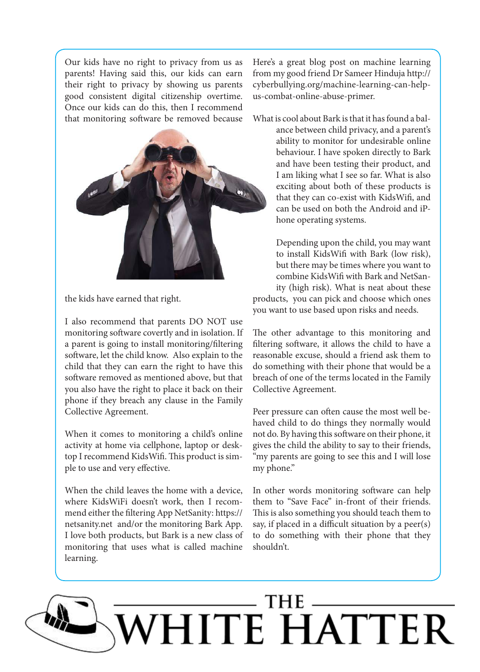Our kids have no right to privacy from us as parents! Having said this, our kids can earn their right to privacy by showing us parents good consistent digital citizenship overtime. Once our kids can do this, then I recommend that monitoring software be removed because



the kids have earned that right.

I also recommend that parents DO NOT use monitoring software covertly and in isolation. If a parent is going to install monitoring/filtering software, let the child know. Also explain to the child that they can earn the right to have this software removed as mentioned above, but that you also have the right to place it back on their phone if they breach any clause in the Family Collective Agreement.

When it comes to monitoring a child's online activity at home via cellphone, laptop or desktop I recommend KidsWifi. This product is simple to use and very effective.

When the child leaves the home with a device, where KidsWiFi doesn't work, then I recommend either the filtering App NetSanity: https:// netsanity.net and/or the monitoring Bark App. I love both products, but Bark is a new class of monitoring that uses what is called machine learning.

Here's a great blog post on machine learning from my good friend Dr Sameer Hinduja http:// cyberbullying.org/machine-learning-can-helpus-combat-online-abuse-primer.

What is cool about Bark is that it has found a bal-

ance between child privacy, and a parent's ability to monitor for undesirable online behaviour. I have spoken directly to Bark and have been testing their product, and I am liking what I see so far. What is also exciting about both of these products is that they can co-exist with KidsWifi, and can be used on both the Android and iPhone operating systems.

Depending upon the child, you may want to install KidsWifi with Bark (low risk), but there may be times where you want to combine KidsWifi with Bark and NetSanity (high risk). What is neat about these products, you can pick and choose which ones you want to use based upon risks and needs.

The other advantage to this monitoring and filtering software, it allows the child to have a reasonable excuse, should a friend ask them to do something with their phone that would be a breach of one of the terms located in the Family Collective Agreement.

Peer pressure can often cause the most well behaved child to do things they normally would not do. By having this software on their phone, it gives the child the ability to say to their friends, "my parents are going to see this and I will lose" my phone."

In other words monitoring software can help them to "Save Face" in-front of their friends. This is also something you should teach them to say, if placed in a difficult situation by a peer(s) to do something with their phone that they shouldn't.

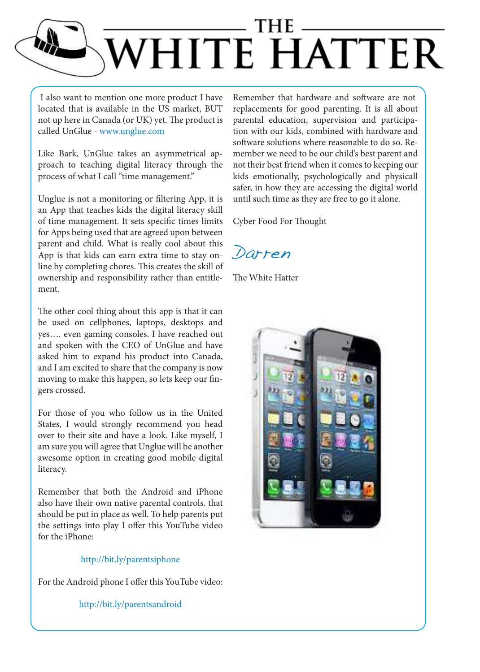

I also want to mention one more product I have located that is available in the US market, BUT not up here in Canada (or UK) yet. The product is called UnGlue - [www.unglue.com](http://www.unglue.com) 

Like Bark, UnGlue takes an asymmetrical approach to teaching digital literacy through the process of what I call "time management."

Unglue is not a monitoring or filtering App, it is an App that teaches kids the digital literacy skill of time management. It sets specific times limits for Apps being used that are agreed upon between parent and child. What is really cool about this App is that kids can earn extra time to stay online by completing chores. This creates the skill of ownership and responsibility rather than entitlement.

The other cool thing about this app is that it can be used on cellphones, laptops, desktops and yes…. even gaming consoles. I have reached out and spoken with the CEO of UnGlue and have asked him to expand his product into Canada, and I am excited to share that the company is now moving to make this happen, so lets keep our fingers crossed.

For those of you who follow us in the United States, I would strongly recommend you head over to their site and have a look. Like myself, I am sure you will agree that Unglue will be another awesome option in creating good mobile digital literacy.

Remember that both the Android and iPhone also have their own native parental controls. that should be put in place as well. To help parents put the settings into play I offer this YouTube video for the iPhone:

#### <http://bit.ly/parentsiphone>

For the Android phone I offer this YouTube video:

#### <http://bit.ly/parentsandroid>

Remember that hardware and software are not replacements for good parenting. It is all about parental education, supervision and participation with our kids, combined with hardware and software solutions where reasonable to do so. Remember we need to be our child's best parent and not their best friend when it comes to keeping our kids emotionally, psychologically and physicall safer, in how they are accessing the digital world until such time as they are free to go it alone.

Cyber Food For Thought

Darren

The White Hatter

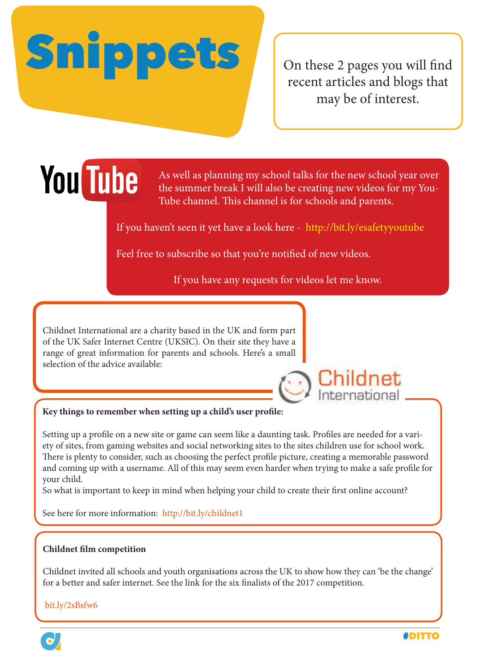# Snippets

On these 2 pages you will find recent articles and blogs that may be of interest.

## **You Tube**

As well as planning my school talks for the new school year over the summer break I will also be creating new videos for my You-Tube channel. This channel is for schools and parents.

If you haven't seen it yet have a look here -<http://bit.ly/esafetyyoutube>

Feel free to subscribe so that you're notified of new videos.

If you have any requests for videos let me know.

Childnet International are a charity based in the UK and form part of the UK Safer Internet Centre (UKSIC). On their site they have a range of great information for parents and schools. Here's a small selection of the advice available:



#### **Key things to remember when setting up a child's user profile:**

Setting up a profile on a new site or game can seem like a daunting task. Profiles are needed for a variety of sites, from gaming websites and social networking sites to the sites children use for school work. There is plenty to consider, such as choosing the perfect profile picture, creating a memorable password and coming up with a username. All of this may seem even harder when trying to make a safe profile for your child.

So what is important to keep in mind when helping your child to create their first online account?

See here for more information: http://bit.ly/childnet1

#### **Childnet film competition**

Childnet invited all schools and youth organisations across the UK to show how they can 'be the change' for a better and safer internet. See the link for the six finalists of the 2017 competition.

[bit.ly/2sBsfw6](http://bit.ly/2sBsfw6)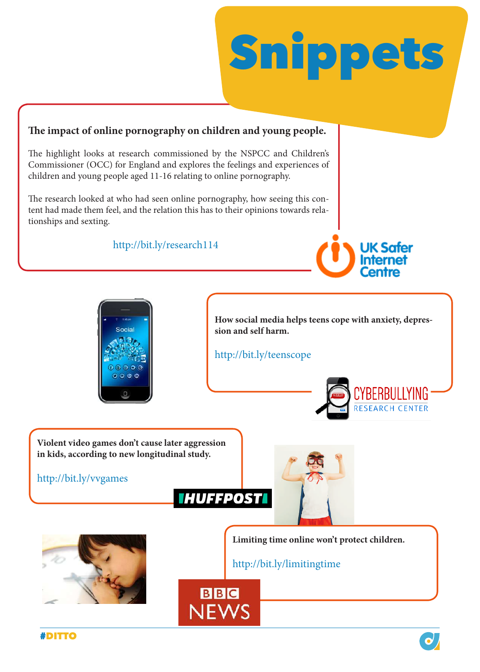

#### **The impact of online pornography on children and young people.**

The highlight looks at research commissioned by the NSPCC and Children's Commissioner (OCC) for England and explores the feelings and experiences of children and young people aged 11-16 relating to online pornography.

The research looked at who had seen online pornography, how seeing this content had made them feel, and the relation this has to their opinions towards relationships and sexting.

<http://bit.ly/research114>





**How social media helps teens cope with anxiety, depression and self harm.**

http://bit.ly/teenscope



**Violent video games don't cause later aggression in kids, according to new longitudinal study.**

#### <http://bit.ly/vvgames>



**BBC** 

**NEWS** 





**Limiting time online won't protect children.**

<http://bit.ly/limitingtime>